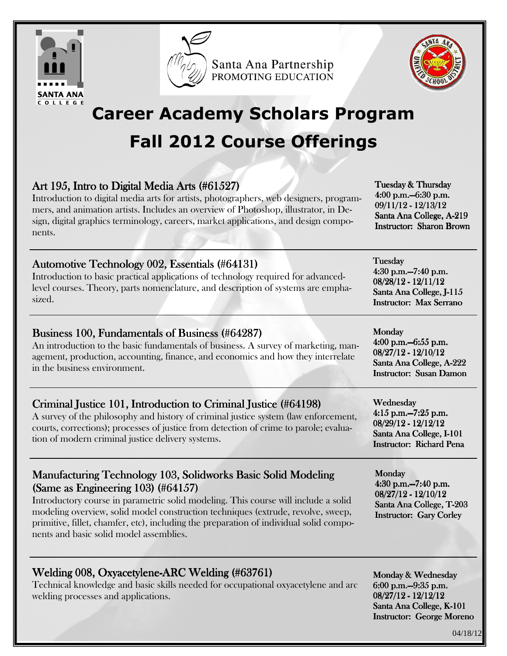

Santa Ana Partnership PROMOTING EDUCATION



# Career Academy Scholars Program Fall 2012 Course Offerings

### Art 195, Intro to Digital Media Arts (#61527)

Introduction to digital media arts for artists, photographers, web designers, programmers, and animation artists. Includes an overview of Photoshop, illustrator, in Design, digital graphics terminology, careers, market applications, and design components.

Automotive Technology 002, Essentials (#64131)

Introduction to basic practical applications of technology required for advancedlevel courses. Theory, parts nomenclature, and description of systems are emphasized.

### Business 100, Fundamentals of Business (#64287)

An introduction to the basic fundamentals of business. A survey of marketing, management, production, accounting, finance, and economics and how they interrelate in the business environment.

### Criminal Justice 101, Introduction to Criminal Justice (#64198)

A survey of the philosophy and history of criminal justice system (law enforcement, courts, corrections); processes of justice from detection of crime to parole; evaluation of modern criminal justice delivery systems.

#### Manufacturing Technology 103, Solidworks Basic Solid Modeling  $(Same as Engineering 103)$  (#64157)

Introductory course in parametric solid modeling. This course will include a solid modeling overview, solid model construction techniques (extrude, revolve, sweep, primitive, fillet, chamfer, etc), including the preparation of individual solid components and basic solid model assemblies.

### Welding 008, Oxyacetylene-ARC Welding (#63761)

Technical knowledge and basic skills needed for occupational oxyacetylene and arc welding processes and applications.

Tuesday & Thursday 4:00 p.m. -6:30 p.m. 09/11/12 - 12/13/12 Santa Ana College, A-219 Instructor: Sharon Brown

**Tuesday** 4:30 p.m. - 7:40 p.m. 08/28/12 - 12/11/12 Santa Ana College, J-115 Instructor: Max Serrano

Monday 4:00 p.m. - 6:55 p.m. 08/27/12 - 12/10/12 Santa Ana College, A-222 Instructor: Susan Damon

Wednesday  $4:15$  p.m. $-7:25$  p.m. 08/29/12 - 12/12/12 Santa Ana College, I-101 Instructor: Richard Pena

Monday 4:30 p.m. - 7:40 p.m. 08/27/12 - 12/10/12 Santa Ana College, T-203 Instructor: Gary Corley

Monday & Wednesday 6:00 p.m. - 9:35 p.m. 08/27/12 - 12/12/12 Santa Ana College, K-101 Instructor: George Moreno

04/18/12